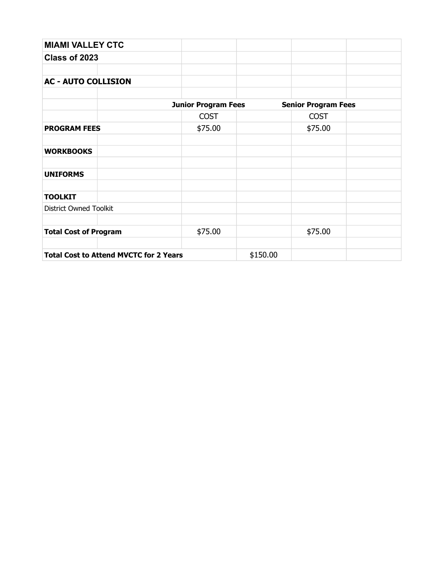| <b>MIAMI VALLEY CTC</b>                       |                            |          |                            |  |
|-----------------------------------------------|----------------------------|----------|----------------------------|--|
| Class of 2023                                 |                            |          |                            |  |
|                                               |                            |          |                            |  |
| <b>AC - AUTO COLLISION</b>                    |                            |          |                            |  |
|                                               |                            |          |                            |  |
|                                               | <b>Junior Program Fees</b> |          | <b>Senior Program Fees</b> |  |
|                                               | <b>COST</b>                |          | <b>COST</b>                |  |
| <b>PROGRAM FEES</b>                           | \$75.00                    |          | \$75.00                    |  |
|                                               |                            |          |                            |  |
| <b>WORKBOOKS</b>                              |                            |          |                            |  |
|                                               |                            |          |                            |  |
| <b>UNIFORMS</b>                               |                            |          |                            |  |
|                                               |                            |          |                            |  |
| <b>TOOLKIT</b>                                |                            |          |                            |  |
| <b>District Owned Toolkit</b>                 |                            |          |                            |  |
|                                               |                            |          |                            |  |
| <b>Total Cost of Program</b>                  | \$75.00                    |          | \$75.00                    |  |
|                                               |                            |          |                            |  |
| <b>Total Cost to Attend MVCTC for 2 Years</b> |                            | \$150.00 |                            |  |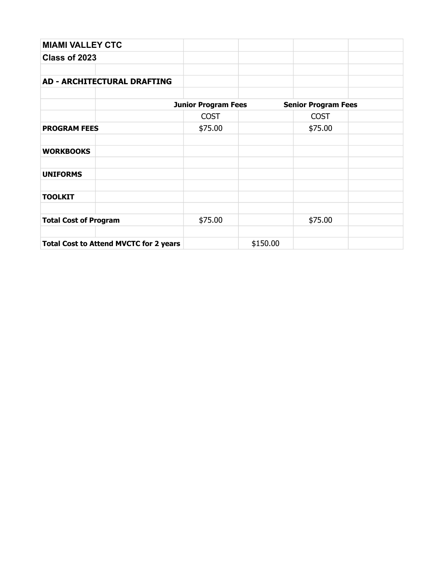| <b>MIAMI VALLEY CTC</b>                       |                            |          |                            |  |
|-----------------------------------------------|----------------------------|----------|----------------------------|--|
| Class of 2023                                 |                            |          |                            |  |
|                                               |                            |          |                            |  |
| <b>AD - ARCHITECTURAL DRAFTING</b>            |                            |          |                            |  |
|                                               |                            |          |                            |  |
|                                               | <b>Junior Program Fees</b> |          | <b>Senior Program Fees</b> |  |
|                                               | <b>COST</b>                |          | <b>COST</b>                |  |
| <b>PROGRAM FEES</b>                           | \$75.00                    |          | \$75.00                    |  |
|                                               |                            |          |                            |  |
| <b>WORKBOOKS</b>                              |                            |          |                            |  |
|                                               |                            |          |                            |  |
| <b>UNIFORMS</b>                               |                            |          |                            |  |
|                                               |                            |          |                            |  |
| <b>TOOLKIT</b>                                |                            |          |                            |  |
|                                               |                            |          |                            |  |
| <b>Total Cost of Program</b>                  | \$75.00                    |          | \$75.00                    |  |
|                                               |                            |          |                            |  |
| <b>Total Cost to Attend MVCTC for 2 years</b> |                            | \$150.00 |                            |  |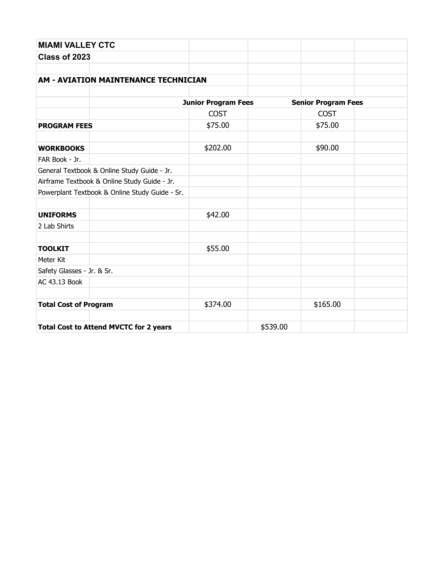| <b>MIAMI VALLEY CTC</b>                        |                            |          |                            |  |
|------------------------------------------------|----------------------------|----------|----------------------------|--|
| Class of 2023                                  |                            |          |                            |  |
|                                                |                            |          |                            |  |
| <b>AM - AVIATION MAINTENANCE TECHNICIAN</b>    |                            |          |                            |  |
|                                                |                            |          |                            |  |
|                                                | <b>Junior Program Fees</b> |          | <b>Senior Program Fees</b> |  |
|                                                | <b>COST</b>                |          | <b>COST</b>                |  |
| <b>PROGRAM FEES</b>                            | \$75.00                    |          | \$75.00                    |  |
| <b>WORKBOOKS</b>                               | \$202.00                   |          | \$90.00                    |  |
| FAR Book - Jr.                                 |                            |          |                            |  |
| General Textbook & Online Study Guide - Jr.    |                            |          |                            |  |
| Airframe Textbook & Online Study Guide - Jr.   |                            |          |                            |  |
| Powerplant Textbook & Online Study Guide - Sr. |                            |          |                            |  |
|                                                |                            |          |                            |  |
| <b>UNIFORMS</b>                                | \$42.00                    |          |                            |  |
| 2 Lab Shirts                                   |                            |          |                            |  |
| <b>TOOLKIT</b>                                 | \$55.00                    |          |                            |  |
| Meter Kit                                      |                            |          |                            |  |
| Safety Glasses - Jr. & Sr.                     |                            |          |                            |  |
| AC 43.13 Book                                  |                            |          |                            |  |
| <b>Total Cost of Program</b>                   | \$374.00                   |          | \$165.00                   |  |
|                                                |                            |          |                            |  |
| <b>Total Cost to Attend MVCTC for 2 years</b>  |                            | \$539.00 |                            |  |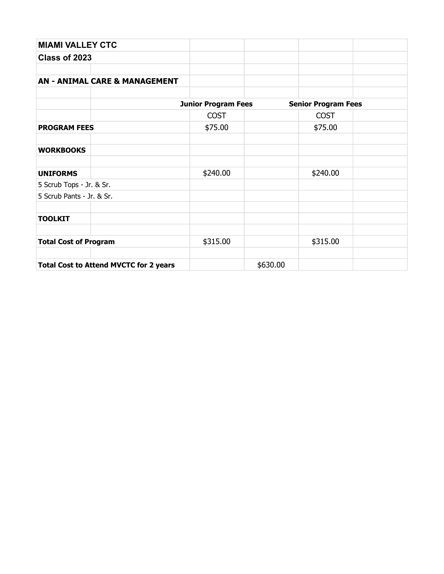| <b>MIAMI VALLEY CTC</b>                       |                            |          |                            |  |
|-----------------------------------------------|----------------------------|----------|----------------------------|--|
| Class of 2023                                 |                            |          |                            |  |
|                                               |                            |          |                            |  |
| <b>AN - ANIMAL CARE &amp; MANAGEMENT</b>      |                            |          |                            |  |
|                                               |                            |          |                            |  |
|                                               | <b>Junior Program Fees</b> |          | <b>Senior Program Fees</b> |  |
|                                               | <b>COST</b>                |          | <b>COST</b>                |  |
| <b>PROGRAM FEES</b>                           | \$75.00                    |          | \$75.00                    |  |
|                                               |                            |          |                            |  |
| <b>WORKBOOKS</b>                              |                            |          |                            |  |
|                                               |                            |          |                            |  |
| <b>UNIFORMS</b>                               | \$240.00                   |          | \$240.00                   |  |
| 5 Scrub Tops - Jr. & Sr.                      |                            |          |                            |  |
| 5 Scrub Pants - Jr. & Sr.                     |                            |          |                            |  |
|                                               |                            |          |                            |  |
| <b>TOOLKIT</b>                                |                            |          |                            |  |
|                                               |                            |          |                            |  |
| <b>Total Cost of Program</b>                  | \$315.00                   |          | \$315.00                   |  |
|                                               |                            |          |                            |  |
| <b>Total Cost to Attend MVCTC for 2 years</b> |                            | \$630.00 |                            |  |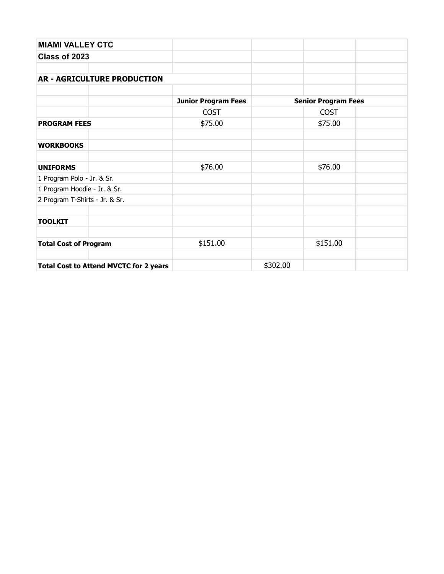| <b>MIAMI VALLEY CTC</b>                       |                            |          |                            |  |
|-----------------------------------------------|----------------------------|----------|----------------------------|--|
| Class of 2023                                 |                            |          |                            |  |
|                                               |                            |          |                            |  |
| <b>AR - AGRICULTURE PRODUCTION</b>            |                            |          |                            |  |
|                                               |                            |          |                            |  |
|                                               | <b>Junior Program Fees</b> |          | <b>Senior Program Fees</b> |  |
|                                               | <b>COST</b>                |          | <b>COST</b>                |  |
| <b>PROGRAM FEES</b>                           | \$75.00                    |          | \$75.00                    |  |
|                                               |                            |          |                            |  |
| <b>WORKBOOKS</b>                              |                            |          |                            |  |
|                                               |                            |          |                            |  |
| <b>UNIFORMS</b>                               | \$76.00                    |          | \$76.00                    |  |
| 1 Program Polo - Jr. & Sr.                    |                            |          |                            |  |
| 1 Program Hoodie - Jr. & Sr.                  |                            |          |                            |  |
| 2 Program T-Shirts - Jr. & Sr.                |                            |          |                            |  |
|                                               |                            |          |                            |  |
| <b>TOOLKIT</b>                                |                            |          |                            |  |
|                                               |                            |          |                            |  |
| <b>Total Cost of Program</b>                  | \$151.00                   |          | \$151.00                   |  |
|                                               |                            |          |                            |  |
| <b>Total Cost to Attend MVCTC for 2 years</b> |                            | \$302.00 |                            |  |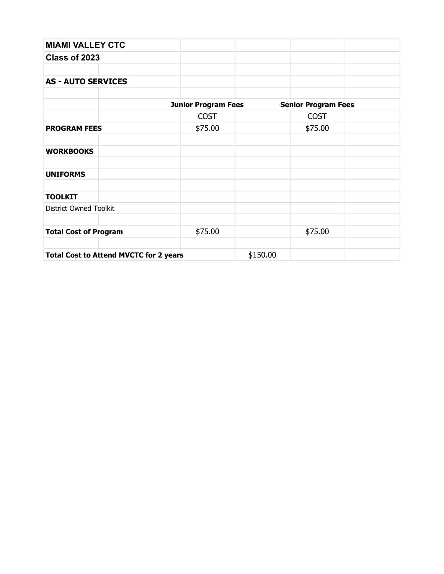| <b>MIAMI VALLEY CTC</b>                       |                            |          |                            |  |
|-----------------------------------------------|----------------------------|----------|----------------------------|--|
| Class of 2023                                 |                            |          |                            |  |
|                                               |                            |          |                            |  |
| <b>AS - AUTO SERVICES</b>                     |                            |          |                            |  |
|                                               |                            |          |                            |  |
|                                               | <b>Junior Program Fees</b> |          | <b>Senior Program Fees</b> |  |
|                                               | <b>COST</b>                |          | <b>COST</b>                |  |
| <b>PROGRAM FEES</b>                           | \$75.00                    |          | \$75.00                    |  |
|                                               |                            |          |                            |  |
| <b>WORKBOOKS</b>                              |                            |          |                            |  |
| <b>UNIFORMS</b>                               |                            |          |                            |  |
| <b>TOOLKIT</b>                                |                            |          |                            |  |
| <b>District Owned Toolkit</b>                 |                            |          |                            |  |
| <b>Total Cost of Program</b>                  | \$75.00                    |          | \$75.00                    |  |
|                                               |                            |          |                            |  |
| <b>Total Cost to Attend MVCTC for 2 years</b> |                            | \$150.00 |                            |  |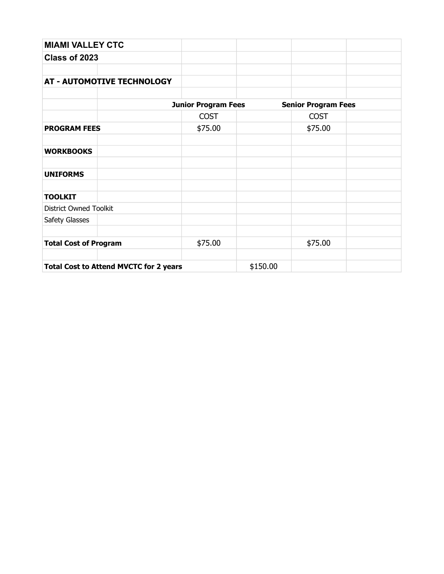| <b>MIAMI VALLEY CTC</b>                       |                            |          |                            |  |
|-----------------------------------------------|----------------------------|----------|----------------------------|--|
| Class of 2023                                 |                            |          |                            |  |
|                                               |                            |          |                            |  |
| <b>AT - AUTOMOTIVE TECHNOLOGY</b>             |                            |          |                            |  |
|                                               | <b>Junior Program Fees</b> |          | <b>Senior Program Fees</b> |  |
|                                               | <b>COST</b>                |          | <b>COST</b>                |  |
| <b>PROGRAM FEES</b>                           | \$75.00                    |          | \$75.00                    |  |
| <b>WORKBOOKS</b>                              |                            |          |                            |  |
| <b>UNIFORMS</b>                               |                            |          |                            |  |
| <b>TOOLKIT</b>                                |                            |          |                            |  |
| <b>District Owned Toolkit</b>                 |                            |          |                            |  |
| Safety Glasses                                |                            |          |                            |  |
| <b>Total Cost of Program</b>                  | \$75.00                    |          | \$75.00                    |  |
| <b>Total Cost to Attend MVCTC for 2 years</b> |                            | \$150.00 |                            |  |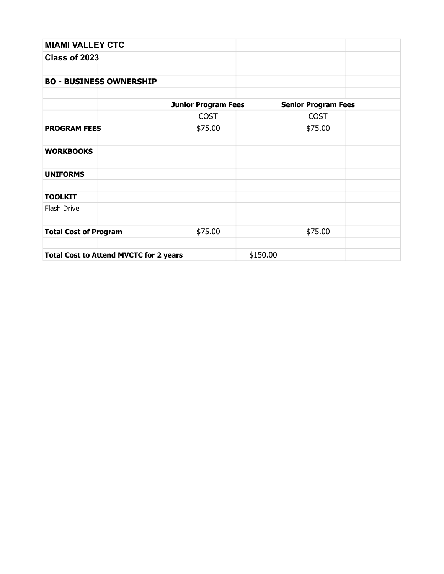| <b>MIAMI VALLEY CTC</b>                       |                            |          |                            |  |
|-----------------------------------------------|----------------------------|----------|----------------------------|--|
| Class of 2023                                 |                            |          |                            |  |
|                                               |                            |          |                            |  |
| <b>BO - BUSINESS OWNERSHIP</b>                |                            |          |                            |  |
|                                               |                            |          |                            |  |
|                                               | <b>Junior Program Fees</b> |          | <b>Senior Program Fees</b> |  |
|                                               | <b>COST</b>                |          | <b>COST</b>                |  |
| <b>PROGRAM FEES</b>                           | \$75.00                    |          | \$75.00                    |  |
|                                               |                            |          |                            |  |
| <b>WORKBOOKS</b>                              |                            |          |                            |  |
|                                               |                            |          |                            |  |
| <b>UNIFORMS</b>                               |                            |          |                            |  |
|                                               |                            |          |                            |  |
| <b>TOOLKIT</b>                                |                            |          |                            |  |
| Flash Drive                                   |                            |          |                            |  |
|                                               |                            |          |                            |  |
| <b>Total Cost of Program</b>                  | \$75.00                    |          | \$75.00                    |  |
|                                               |                            |          |                            |  |
| <b>Total Cost to Attend MVCTC for 2 years</b> |                            | \$150.00 |                            |  |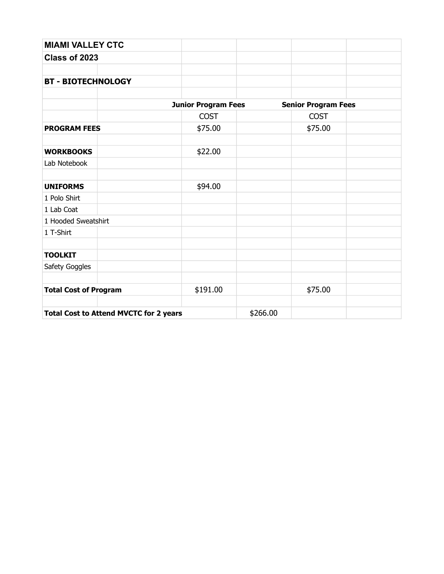| <b>MIAMI VALLEY CTC</b>                       |                            |          |                            |  |
|-----------------------------------------------|----------------------------|----------|----------------------------|--|
| Class of 2023                                 |                            |          |                            |  |
| <b>BT - BIOTECHNOLOGY</b>                     |                            |          |                            |  |
|                                               | <b>Junior Program Fees</b> |          | <b>Senior Program Fees</b> |  |
|                                               | <b>COST</b>                |          | <b>COST</b>                |  |
| <b>PROGRAM FEES</b>                           | \$75.00                    |          | \$75.00                    |  |
| <b>WORKBOOKS</b>                              | \$22.00                    |          |                            |  |
| Lab Notebook                                  |                            |          |                            |  |
| <b>UNIFORMS</b>                               | \$94.00                    |          |                            |  |
| 1 Polo Shirt                                  |                            |          |                            |  |
| 1 Lab Coat                                    |                            |          |                            |  |
| 1 Hooded Sweatshirt                           |                            |          |                            |  |
| 1 T-Shirt                                     |                            |          |                            |  |
| <b>TOOLKIT</b>                                |                            |          |                            |  |
| Safety Goggles                                |                            |          |                            |  |
| <b>Total Cost of Program</b>                  | \$191.00                   |          | \$75.00                    |  |
| <b>Total Cost to Attend MVCTC for 2 years</b> |                            | \$266.00 |                            |  |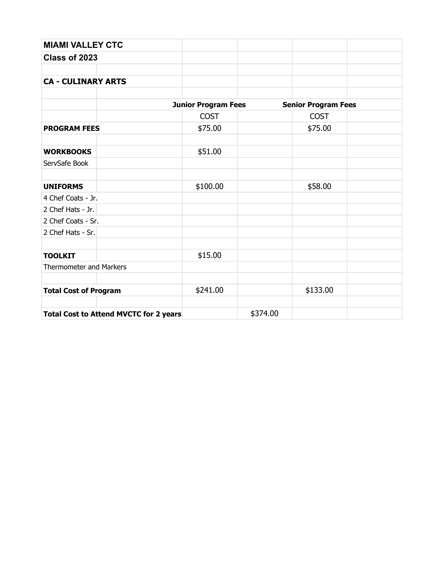| <b>MIAMI VALLEY CTC</b>                       |                            |          |                            |  |
|-----------------------------------------------|----------------------------|----------|----------------------------|--|
| Class of 2023                                 |                            |          |                            |  |
| <b>CA - CULINARY ARTS</b>                     |                            |          |                            |  |
|                                               | <b>Junior Program Fees</b> |          | <b>Senior Program Fees</b> |  |
|                                               | <b>COST</b>                |          | <b>COST</b>                |  |
| <b>PROGRAM FEES</b>                           | \$75.00                    |          | \$75.00                    |  |
| <b>WORKBOOKS</b>                              | \$51.00                    |          |                            |  |
| ServSafe Book                                 |                            |          |                            |  |
| <b>UNIFORMS</b>                               | \$100.00                   |          | \$58.00                    |  |
| 4 Chef Coats - Jr.                            |                            |          |                            |  |
| 2 Chef Hats - Jr.                             |                            |          |                            |  |
| 2 Chef Coats - Sr.                            |                            |          |                            |  |
| 2 Chef Hats - Sr.                             |                            |          |                            |  |
| <b>TOOLKIT</b>                                | \$15.00                    |          |                            |  |
| Thermometer and Markers                       |                            |          |                            |  |
| <b>Total Cost of Program</b>                  | \$241.00                   |          | \$133.00                   |  |
| <b>Total Cost to Attend MVCTC for 2 years</b> |                            | \$374.00 |                            |  |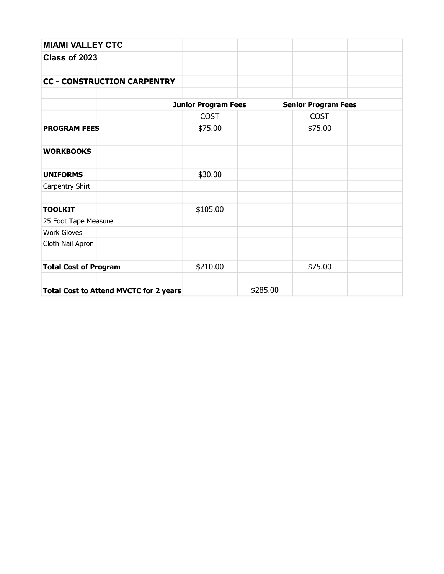| <b>MIAMI VALLEY CTC</b>                       |                            |          |                            |  |
|-----------------------------------------------|----------------------------|----------|----------------------------|--|
| Class of 2023                                 |                            |          |                            |  |
|                                               |                            |          |                            |  |
| <b>CC - CONSTRUCTION CARPENTRY</b>            |                            |          |                            |  |
|                                               |                            |          |                            |  |
|                                               | <b>Junior Program Fees</b> |          | <b>Senior Program Fees</b> |  |
|                                               | <b>COST</b>                |          | <b>COST</b>                |  |
| <b>PROGRAM FEES</b>                           | \$75.00                    |          | \$75.00                    |  |
|                                               |                            |          |                            |  |
| <b>WORKBOOKS</b>                              |                            |          |                            |  |
|                                               |                            |          |                            |  |
| <b>UNIFORMS</b>                               | \$30.00                    |          |                            |  |
| Carpentry Shirt                               |                            |          |                            |  |
|                                               |                            |          |                            |  |
| <b>TOOLKIT</b>                                | \$105.00                   |          |                            |  |
| 25 Foot Tape Measure                          |                            |          |                            |  |
| <b>Work Gloves</b>                            |                            |          |                            |  |
| Cloth Nail Apron                              |                            |          |                            |  |
|                                               |                            |          |                            |  |
| <b>Total Cost of Program</b>                  | \$210.00                   |          | \$75.00                    |  |
|                                               |                            |          |                            |  |
| <b>Total Cost to Attend MVCTC for 2 years</b> |                            | \$285.00 |                            |  |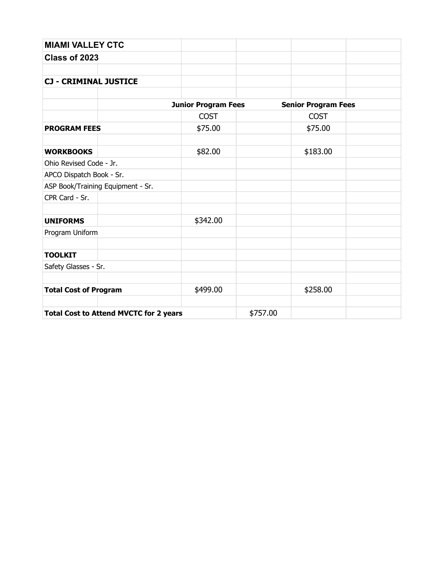| <b>MIAMI VALLEY CTC</b>                       |                            |          |                            |  |
|-----------------------------------------------|----------------------------|----------|----------------------------|--|
| Class of 2023                                 |                            |          |                            |  |
| <b>CJ - CRIMINAL JUSTICE</b>                  |                            |          |                            |  |
|                                               | <b>Junior Program Fees</b> |          | <b>Senior Program Fees</b> |  |
|                                               | <b>COST</b>                |          | <b>COST</b>                |  |
| <b>PROGRAM FEES</b>                           | \$75.00                    |          | \$75.00                    |  |
| <b>WORKBOOKS</b>                              | \$82.00                    |          | \$183.00                   |  |
| Ohio Revised Code - Jr.                       |                            |          |                            |  |
| APCO Dispatch Book - Sr.                      |                            |          |                            |  |
| ASP Book/Training Equipment - Sr.             |                            |          |                            |  |
| CPR Card - Sr.                                |                            |          |                            |  |
| <b>UNIFORMS</b>                               | \$342.00                   |          |                            |  |
| Program Uniform                               |                            |          |                            |  |
| <b>TOOLKIT</b>                                |                            |          |                            |  |
| Safety Glasses - Sr.                          |                            |          |                            |  |
| <b>Total Cost of Program</b>                  | \$499.00                   |          | \$258.00                   |  |
| <b>Total Cost to Attend MVCTC for 2 years</b> |                            | \$757.00 |                            |  |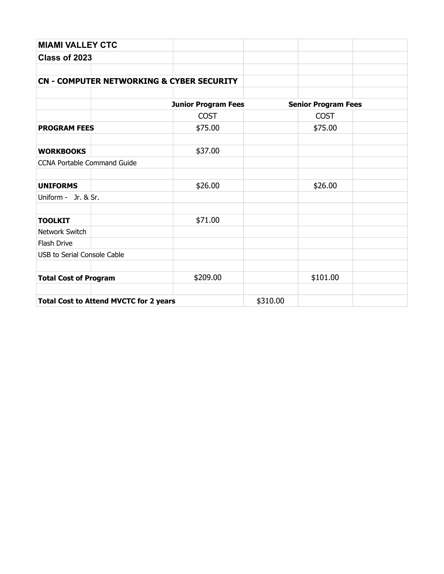| <b>MIAMI VALLEY CTC</b>                       |                                                      |          |                            |  |
|-----------------------------------------------|------------------------------------------------------|----------|----------------------------|--|
| Class of 2023                                 |                                                      |          |                            |  |
|                                               |                                                      |          |                            |  |
|                                               | <b>CN - COMPUTER NETWORKING &amp; CYBER SECURITY</b> |          |                            |  |
|                                               |                                                      |          |                            |  |
|                                               | <b>Junior Program Fees</b>                           |          | <b>Senior Program Fees</b> |  |
|                                               | <b>COST</b>                                          |          | <b>COST</b>                |  |
| <b>PROGRAM FEES</b>                           | \$75.00                                              |          | \$75.00                    |  |
| <b>WORKBOOKS</b>                              | \$37.00                                              |          |                            |  |
| <b>CCNA Portable Command Guide</b>            |                                                      |          |                            |  |
| <b>UNIFORMS</b>                               | \$26.00                                              |          | \$26.00                    |  |
| Uniform - Jr. & Sr.                           |                                                      |          |                            |  |
| <b>TOOLKIT</b>                                | \$71.00                                              |          |                            |  |
| Network Switch                                |                                                      |          |                            |  |
| Flash Drive                                   |                                                      |          |                            |  |
| <b>USB to Serial Console Cable</b>            |                                                      |          |                            |  |
| <b>Total Cost of Program</b>                  | \$209.00                                             |          | \$101.00                   |  |
| <b>Total Cost to Attend MVCTC for 2 years</b> |                                                      | \$310.00 |                            |  |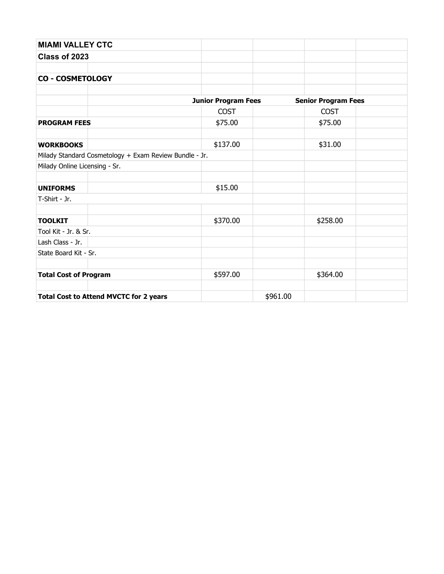| <b>MIAMI VALLEY CTC</b>                                |                            |                            |  |
|--------------------------------------------------------|----------------------------|----------------------------|--|
| Class of 2023                                          |                            |                            |  |
|                                                        |                            |                            |  |
| <b>CO - COSMETOLOGY</b>                                |                            |                            |  |
|                                                        |                            |                            |  |
|                                                        | <b>Junior Program Fees</b> | <b>Senior Program Fees</b> |  |
|                                                        | <b>COST</b>                | <b>COST</b>                |  |
| <b>PROGRAM FEES</b>                                    | \$75.00                    | \$75.00                    |  |
| <b>WORKBOOKS</b>                                       | \$137.00                   | \$31.00                    |  |
| Milady Standard Cosmetology + Exam Review Bundle - Jr. |                            |                            |  |
| Milady Online Licensing - Sr.                          |                            |                            |  |
|                                                        |                            |                            |  |
| <b>UNIFORMS</b>                                        | \$15.00                    |                            |  |
| T-Shirt - Jr.                                          |                            |                            |  |
|                                                        |                            |                            |  |
| <b>TOOLKIT</b>                                         | \$370.00                   | \$258.00                   |  |
| Tool Kit - Jr. & Sr.                                   |                            |                            |  |
| Lash Class - Jr.                                       |                            |                            |  |
| State Board Kit - Sr.                                  |                            |                            |  |
|                                                        |                            |                            |  |
| <b>Total Cost of Program</b>                           | \$597.00                   | \$364.00                   |  |
|                                                        |                            |                            |  |
| <b>Total Cost to Attend MVCTC for 2 years</b>          |                            | \$961.00                   |  |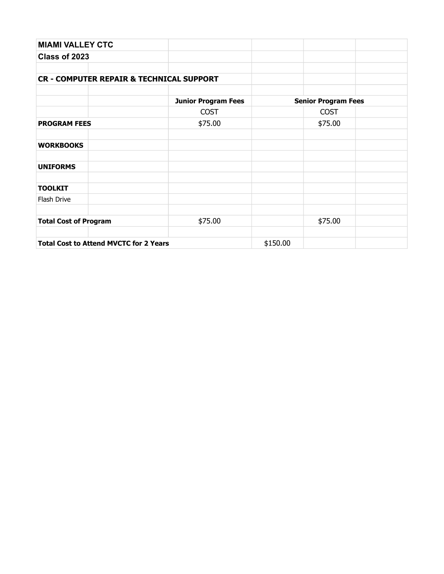| <b>MIAMI VALLEY CTC</b>                             |                            |          |                            |  |
|-----------------------------------------------------|----------------------------|----------|----------------------------|--|
| Class of 2023                                       |                            |          |                            |  |
|                                                     |                            |          |                            |  |
| <b>CR - COMPUTER REPAIR &amp; TECHNICAL SUPPORT</b> |                            |          |                            |  |
|                                                     |                            |          |                            |  |
|                                                     | <b>Junior Program Fees</b> |          | <b>Senior Program Fees</b> |  |
|                                                     | <b>COST</b>                |          | <b>COST</b>                |  |
| <b>PROGRAM FEES</b>                                 | \$75.00                    |          | \$75.00                    |  |
|                                                     |                            |          |                            |  |
| <b>WORKBOOKS</b>                                    |                            |          |                            |  |
| <b>UNIFORMS</b>                                     |                            |          |                            |  |
| <b>TOOLKIT</b>                                      |                            |          |                            |  |
| Flash Drive                                         |                            |          |                            |  |
| <b>Total Cost of Program</b>                        | \$75.00                    |          | \$75.00                    |  |
| <b>Total Cost to Attend MVCTC for 2 Years</b>       |                            | \$150.00 |                            |  |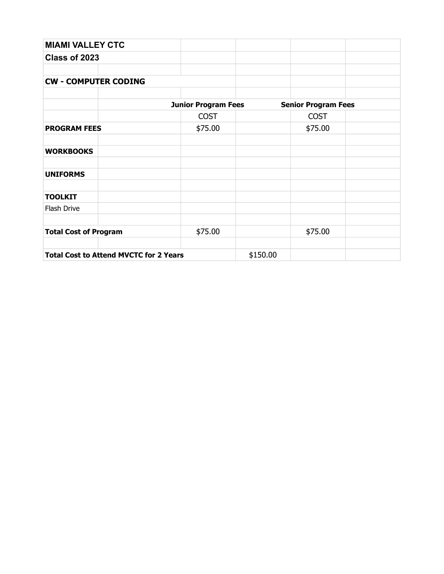| <b>MIAMI VALLEY CTC</b>                       |                            |          |                            |  |
|-----------------------------------------------|----------------------------|----------|----------------------------|--|
| Class of 2023                                 |                            |          |                            |  |
|                                               |                            |          |                            |  |
| <b>CW - COMPUTER CODING</b>                   |                            |          |                            |  |
|                                               |                            |          |                            |  |
|                                               | <b>Junior Program Fees</b> |          | <b>Senior Program Fees</b> |  |
|                                               | <b>COST</b>                |          | <b>COST</b>                |  |
| <b>PROGRAM FEES</b>                           | \$75.00                    |          | \$75.00                    |  |
|                                               |                            |          |                            |  |
| <b>WORKBOOKS</b>                              |                            |          |                            |  |
| <b>UNIFORMS</b>                               |                            |          |                            |  |
| <b>TOOLKIT</b>                                |                            |          |                            |  |
| Flash Drive                                   |                            |          |                            |  |
| <b>Total Cost of Program</b>                  | \$75.00                    |          | \$75.00                    |  |
|                                               |                            |          |                            |  |
| <b>Total Cost to Attend MVCTC for 2 Years</b> |                            | \$150.00 |                            |  |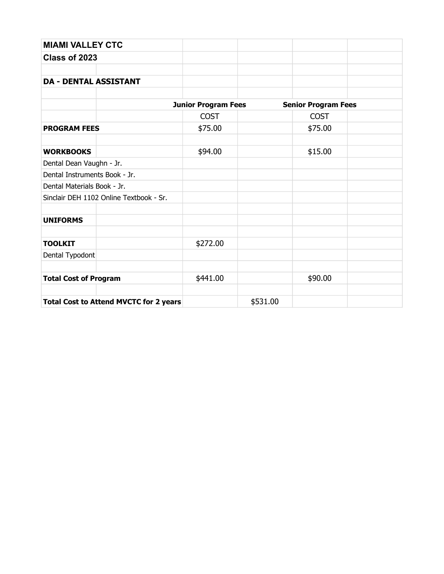| <b>MIAMI VALLEY CTC</b>                       |                            |          |                            |  |  |
|-----------------------------------------------|----------------------------|----------|----------------------------|--|--|
| Class of 2023                                 |                            |          |                            |  |  |
|                                               |                            |          |                            |  |  |
| <b>DA - DENTAL ASSISTANT</b>                  |                            |          |                            |  |  |
|                                               |                            |          |                            |  |  |
|                                               | <b>Junior Program Fees</b> |          | <b>Senior Program Fees</b> |  |  |
|                                               | <b>COST</b>                |          | <b>COST</b>                |  |  |
| <b>PROGRAM FEES</b>                           | \$75.00                    |          | \$75.00                    |  |  |
|                                               |                            |          |                            |  |  |
| <b>WORKBOOKS</b>                              | \$94.00                    |          | \$15.00                    |  |  |
| Dental Dean Vaughn - Jr.                      |                            |          |                            |  |  |
| Dental Instruments Book - Jr.                 |                            |          |                            |  |  |
| Dental Materials Book - Jr.                   |                            |          |                            |  |  |
| Sinclair DEH 1102 Online Textbook - Sr.       |                            |          |                            |  |  |
|                                               |                            |          |                            |  |  |
| <b>UNIFORMS</b>                               |                            |          |                            |  |  |
|                                               |                            |          |                            |  |  |
| <b>TOOLKIT</b>                                | \$272.00                   |          |                            |  |  |
| Dental Typodont                               |                            |          |                            |  |  |
| <b>Total Cost of Program</b>                  | \$441.00                   |          | \$90.00                    |  |  |
|                                               |                            |          |                            |  |  |
| <b>Total Cost to Attend MVCTC for 2 years</b> |                            | \$531.00 |                            |  |  |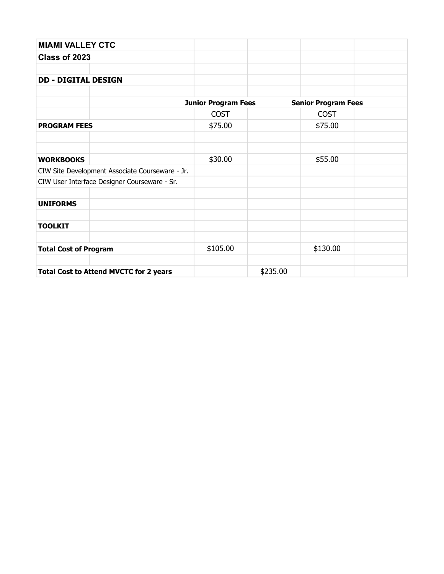| <b>MIAMI VALLEY CTC</b>                         |                            |          |                            |  |
|-------------------------------------------------|----------------------------|----------|----------------------------|--|
| Class of 2023                                   |                            |          |                            |  |
|                                                 |                            |          |                            |  |
| <b>DD - DIGITAL DESIGN</b>                      |                            |          |                            |  |
|                                                 | <b>Junior Program Fees</b> |          | <b>Senior Program Fees</b> |  |
|                                                 | <b>COST</b>                |          | <b>COST</b>                |  |
| <b>PROGRAM FEES</b>                             | \$75.00                    |          | \$75.00                    |  |
|                                                 |                            |          |                            |  |
| <b>WORKBOOKS</b>                                | \$30.00                    |          | \$55.00                    |  |
| CIW Site Development Associate Courseware - Jr. |                            |          |                            |  |
| CIW User Interface Designer Courseware - Sr.    |                            |          |                            |  |
| <b>UNIFORMS</b>                                 |                            |          |                            |  |
| <b>TOOLKIT</b>                                  |                            |          |                            |  |
| <b>Total Cost of Program</b>                    | \$105.00                   |          | \$130.00                   |  |
|                                                 |                            |          |                            |  |
| <b>Total Cost to Attend MVCTC for 2 years</b>   |                            | \$235.00 |                            |  |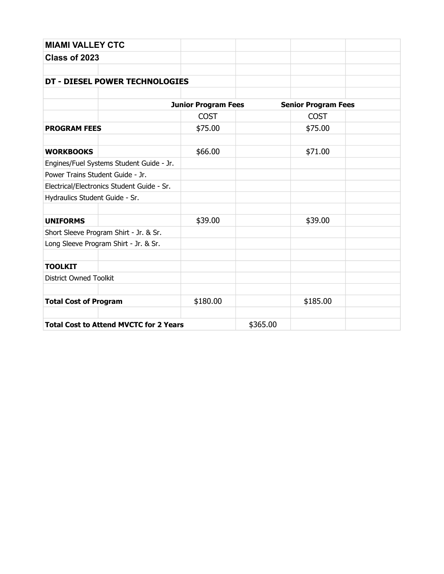| <b>MIAMI VALLEY CTC</b>                       |                            |          |                            |  |
|-----------------------------------------------|----------------------------|----------|----------------------------|--|
| Class of 2023                                 |                            |          |                            |  |
|                                               |                            |          |                            |  |
| DT - DIESEL POWER TECHNOLOGIES                |                            |          |                            |  |
|                                               |                            |          |                            |  |
|                                               | <b>Junior Program Fees</b> |          | <b>Senior Program Fees</b> |  |
|                                               | <b>COST</b>                |          | <b>COST</b>                |  |
| <b>PROGRAM FEES</b>                           | \$75.00                    |          | \$75.00                    |  |
| <b>WORKBOOKS</b>                              | \$66.00                    |          | \$71.00                    |  |
| Engines/Fuel Systems Student Guide - Jr.      |                            |          |                            |  |
| Power Trains Student Guide - Jr.              |                            |          |                            |  |
| Electrical/Electronics Student Guide - Sr.    |                            |          |                            |  |
| Hydraulics Student Guide - Sr.                |                            |          |                            |  |
|                                               |                            |          |                            |  |
| <b>UNIFORMS</b>                               | \$39.00                    |          | \$39.00                    |  |
| Short Sleeve Program Shirt - Jr. & Sr.        |                            |          |                            |  |
| Long Sleeve Program Shirt - Jr. & Sr.         |                            |          |                            |  |
| <b>TOOLKIT</b>                                |                            |          |                            |  |
| <b>District Owned Toolkit</b>                 |                            |          |                            |  |
|                                               |                            |          |                            |  |
| <b>Total Cost of Program</b>                  | \$180.00                   |          | \$185.00                   |  |
|                                               |                            |          |                            |  |
| <b>Total Cost to Attend MVCTC for 2 Years</b> |                            | \$365.00 |                            |  |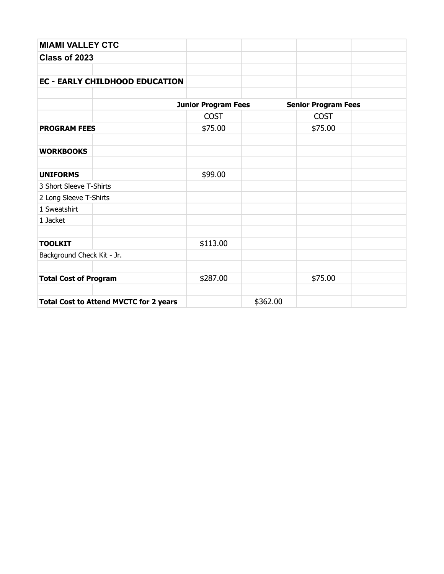| <b>MIAMI VALLEY CTC</b>                       |                            |          |                            |  |
|-----------------------------------------------|----------------------------|----------|----------------------------|--|
| Class of 2023                                 |                            |          |                            |  |
|                                               |                            |          |                            |  |
| <b>EC - EARLY CHILDHOOD EDUCATION</b>         |                            |          |                            |  |
|                                               |                            |          |                            |  |
|                                               | <b>Junior Program Fees</b> |          | <b>Senior Program Fees</b> |  |
|                                               | <b>COST</b>                |          | <b>COST</b>                |  |
| <b>PROGRAM FEES</b>                           | \$75.00                    |          | \$75.00                    |  |
| <b>WORKBOOKS</b>                              |                            |          |                            |  |
| <b>UNIFORMS</b>                               | \$99.00                    |          |                            |  |
| 3 Short Sleeve T-Shirts                       |                            |          |                            |  |
| 2 Long Sleeve T-Shirts                        |                            |          |                            |  |
| 1 Sweatshirt                                  |                            |          |                            |  |
| 1 Jacket                                      |                            |          |                            |  |
| <b>TOOLKIT</b>                                | \$113.00                   |          |                            |  |
| Background Check Kit - Jr.                    |                            |          |                            |  |
| <b>Total Cost of Program</b>                  | \$287.00                   |          | \$75.00                    |  |
| <b>Total Cost to Attend MVCTC for 2 years</b> |                            | \$362.00 |                            |  |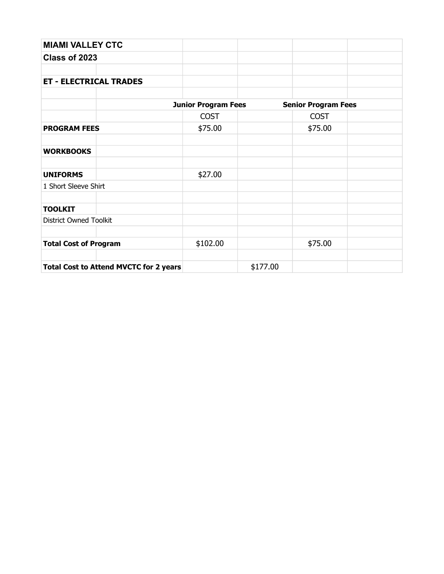| <b>MIAMI VALLEY CTC</b>                       |                            |          |                            |  |
|-----------------------------------------------|----------------------------|----------|----------------------------|--|
| Class of 2023                                 |                            |          |                            |  |
|                                               |                            |          |                            |  |
| <b>ET - ELECTRICAL TRADES</b>                 |                            |          |                            |  |
|                                               |                            |          |                            |  |
|                                               | <b>Junior Program Fees</b> |          | <b>Senior Program Fees</b> |  |
|                                               | <b>COST</b>                |          | <b>COST</b>                |  |
| <b>PROGRAM FEES</b>                           | \$75.00                    |          | \$75.00                    |  |
| <b>WORKBOOKS</b>                              |                            |          |                            |  |
| <b>UNIFORMS</b>                               | \$27.00                    |          |                            |  |
| 1 Short Sleeve Shirt                          |                            |          |                            |  |
| <b>TOOLKIT</b>                                |                            |          |                            |  |
| <b>District Owned Toolkit</b>                 |                            |          |                            |  |
| <b>Total Cost of Program</b>                  | \$102.00                   |          | \$75.00                    |  |
| <b>Total Cost to Attend MVCTC for 2 years</b> |                            | \$177.00 |                            |  |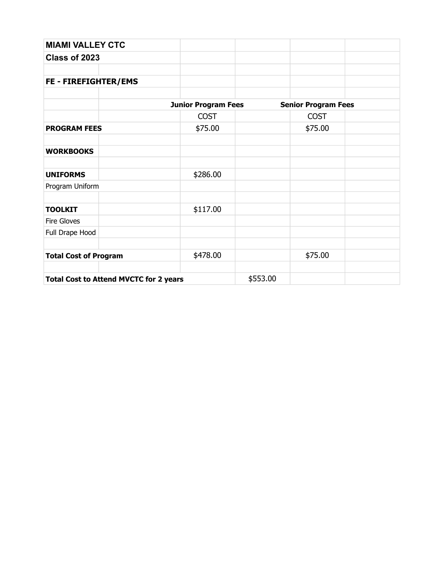| <b>MIAMI VALLEY CTC</b>                       |                            |          |                            |  |
|-----------------------------------------------|----------------------------|----------|----------------------------|--|
| Class of 2023                                 |                            |          |                            |  |
|                                               |                            |          |                            |  |
| FE - FIREFIGHTER/EMS                          |                            |          |                            |  |
|                                               |                            |          |                            |  |
|                                               | <b>Junior Program Fees</b> |          | <b>Senior Program Fees</b> |  |
|                                               | <b>COST</b>                |          | <b>COST</b>                |  |
| <b>PROGRAM FEES</b>                           | \$75.00                    |          | \$75.00                    |  |
|                                               |                            |          |                            |  |
| <b>WORKBOOKS</b>                              |                            |          |                            |  |
|                                               |                            |          |                            |  |
| <b>UNIFORMS</b>                               | \$286.00                   |          |                            |  |
| Program Uniform                               |                            |          |                            |  |
|                                               |                            |          |                            |  |
| <b>TOOLKIT</b>                                | \$117.00                   |          |                            |  |
| Fire Gloves                                   |                            |          |                            |  |
| Full Drape Hood                               |                            |          |                            |  |
|                                               |                            |          |                            |  |
| <b>Total Cost of Program</b>                  | \$478.00                   |          | \$75.00                    |  |
|                                               |                            |          |                            |  |
| <b>Total Cost to Attend MVCTC for 2 years</b> |                            | \$553.00 |                            |  |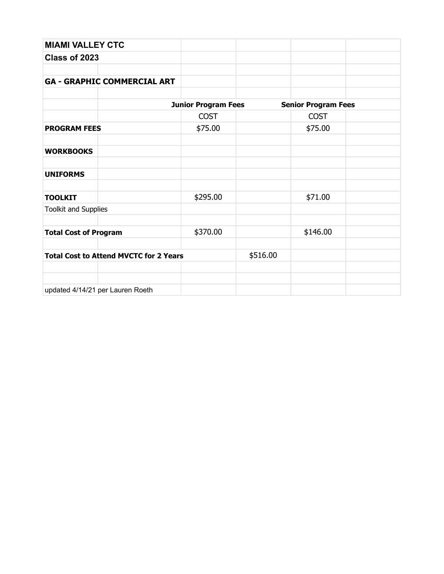| <b>MIAMI VALLEY CTC</b>                       |                            |          |                            |  |
|-----------------------------------------------|----------------------------|----------|----------------------------|--|
| Class of 2023                                 |                            |          |                            |  |
|                                               |                            |          |                            |  |
| <b>GA - GRAPHIC COMMERCIAL ART</b>            |                            |          |                            |  |
|                                               |                            |          |                            |  |
|                                               | <b>Junior Program Fees</b> |          | <b>Senior Program Fees</b> |  |
|                                               | <b>COST</b>                |          | <b>COST</b>                |  |
| <b>PROGRAM FEES</b>                           | \$75.00                    |          | \$75.00                    |  |
|                                               |                            |          |                            |  |
| <b>WORKBOOKS</b>                              |                            |          |                            |  |
|                                               |                            |          |                            |  |
| <b>UNIFORMS</b>                               |                            |          |                            |  |
|                                               |                            |          |                            |  |
| <b>TOOLKIT</b>                                | \$295.00                   |          | \$71.00                    |  |
| <b>Toolkit and Supplies</b>                   |                            |          |                            |  |
|                                               |                            |          |                            |  |
| <b>Total Cost of Program</b>                  | \$370.00                   |          | \$146.00                   |  |
|                                               |                            |          |                            |  |
| <b>Total Cost to Attend MVCTC for 2 Years</b> |                            | \$516.00 |                            |  |
|                                               |                            |          |                            |  |
|                                               |                            |          |                            |  |
| updated 4/14/21 per Lauren Roeth              |                            |          |                            |  |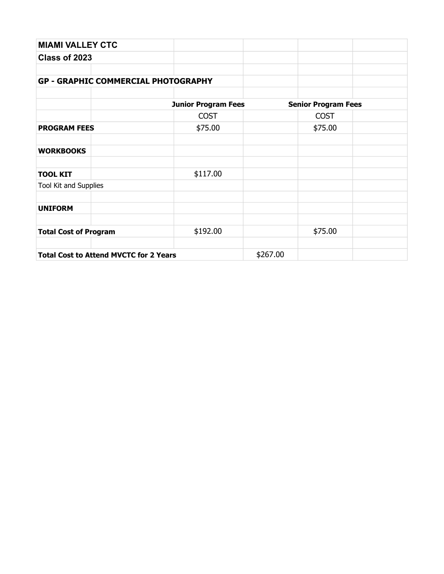| <b>MIAMI VALLEY CTC</b>                       |                            |          |                            |  |
|-----------------------------------------------|----------------------------|----------|----------------------------|--|
| Class of 2023                                 |                            |          |                            |  |
|                                               |                            |          |                            |  |
| <b>GP - GRAPHIC COMMERCIAL PHOTOGRAPHY</b>    |                            |          |                            |  |
|                                               |                            |          |                            |  |
|                                               | <b>Junior Program Fees</b> |          | <b>Senior Program Fees</b> |  |
|                                               | <b>COST</b>                |          | <b>COST</b>                |  |
| <b>PROGRAM FEES</b>                           | \$75.00                    |          | \$75.00                    |  |
| <b>WORKBOOKS</b>                              |                            |          |                            |  |
| <b>TOOL KIT</b>                               | \$117.00                   |          |                            |  |
| Tool Kit and Supplies                         |                            |          |                            |  |
| <b>UNIFORM</b>                                |                            |          |                            |  |
| <b>Total Cost of Program</b>                  | \$192.00                   |          | \$75.00                    |  |
|                                               |                            |          |                            |  |
| <b>Total Cost to Attend MVCTC for 2 Years</b> |                            | \$267.00 |                            |  |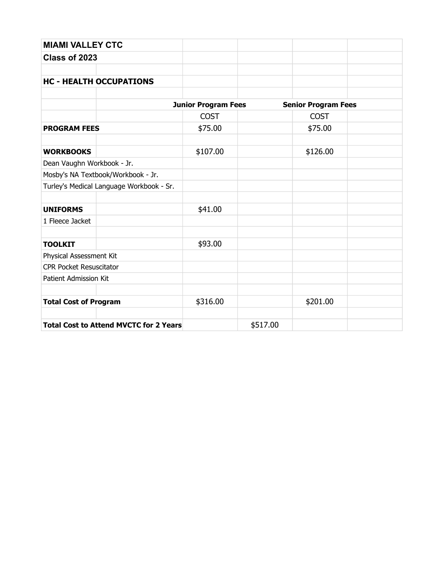| <b>MIAMI VALLEY CTC</b>                       |                            |          |                            |  |
|-----------------------------------------------|----------------------------|----------|----------------------------|--|
| Class of 2023                                 |                            |          |                            |  |
|                                               |                            |          |                            |  |
| <b>HC - HEALTH OCCUPATIONS</b>                |                            |          |                            |  |
|                                               |                            |          |                            |  |
|                                               | <b>Junior Program Fees</b> |          | <b>Senior Program Fees</b> |  |
|                                               | <b>COST</b>                |          | <b>COST</b>                |  |
| <b>PROGRAM FEES</b>                           | \$75.00                    |          | \$75.00                    |  |
| <b>WORKBOOKS</b>                              | \$107.00                   |          | \$126.00                   |  |
| Dean Vaughn Workbook - Jr.                    |                            |          |                            |  |
| Mosby's NA Textbook/Workbook - Jr.            |                            |          |                            |  |
| Turley's Medical Language Workbook - Sr.      |                            |          |                            |  |
|                                               |                            |          |                            |  |
| <b>UNIFORMS</b>                               | \$41.00                    |          |                            |  |
| 1 Fleece Jacket                               |                            |          |                            |  |
|                                               |                            |          |                            |  |
| <b>TOOLKIT</b>                                | \$93.00                    |          |                            |  |
| Physical Assessment Kit                       |                            |          |                            |  |
| <b>CPR Pocket Resuscitator</b>                |                            |          |                            |  |
| Patient Admission Kit                         |                            |          |                            |  |
| <b>Total Cost of Program</b>                  | \$316.00                   |          | \$201.00                   |  |
| <b>Total Cost to Attend MVCTC for 2 Years</b> |                            | \$517.00 |                            |  |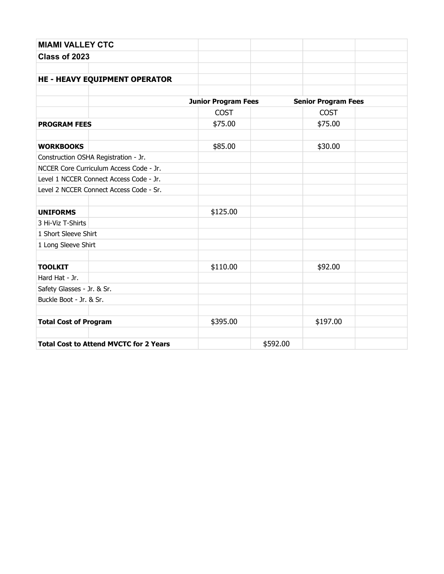| <b>MIAMI VALLEY CTC</b>      |                                               |                            |          |                            |  |
|------------------------------|-----------------------------------------------|----------------------------|----------|----------------------------|--|
| Class of 2023                |                                               |                            |          |                            |  |
|                              |                                               |                            |          |                            |  |
|                              | <b>HE - HEAVY EQUIPMENT OPERATOR</b>          |                            |          |                            |  |
|                              |                                               |                            |          |                            |  |
|                              |                                               | <b>Junior Program Fees</b> |          | <b>Senior Program Fees</b> |  |
|                              |                                               | <b>COST</b>                |          | <b>COST</b>                |  |
| <b>PROGRAM FEES</b>          |                                               | \$75.00                    |          | \$75.00                    |  |
|                              |                                               |                            |          |                            |  |
| <b>WORKBOOKS</b>             |                                               | \$85.00                    |          | \$30.00                    |  |
|                              | Construction OSHA Registration - Jr.          |                            |          |                            |  |
|                              | NCCER Core Curriculum Access Code - Jr.       |                            |          |                            |  |
|                              | Level 1 NCCER Connect Access Code - Jr.       |                            |          |                            |  |
|                              | Level 2 NCCER Connect Access Code - Sr.       |                            |          |                            |  |
|                              |                                               |                            |          |                            |  |
| <b>UNIFORMS</b>              |                                               | \$125.00                   |          |                            |  |
| 3 Hi-Viz T-Shirts            |                                               |                            |          |                            |  |
| 1 Short Sleeve Shirt         |                                               |                            |          |                            |  |
| 1 Long Sleeve Shirt          |                                               |                            |          |                            |  |
|                              |                                               |                            |          |                            |  |
| <b>TOOLKIT</b>               |                                               | \$110.00                   |          | \$92.00                    |  |
| Hard Hat - Jr.               |                                               |                            |          |                            |  |
| Safety Glasses - Jr. & Sr.   |                                               |                            |          |                            |  |
| Buckle Boot - Jr. & Sr.      |                                               |                            |          |                            |  |
|                              |                                               |                            |          |                            |  |
| <b>Total Cost of Program</b> |                                               | \$395.00                   |          | \$197.00                   |  |
|                              |                                               |                            |          |                            |  |
|                              | <b>Total Cost to Attend MVCTC for 2 Years</b> |                            | \$592.00 |                            |  |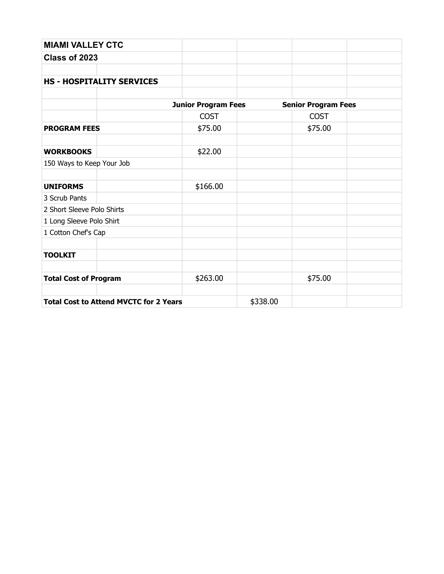| <b>MIAMI VALLEY CTC</b>      |                                               |                            |          |                            |  |
|------------------------------|-----------------------------------------------|----------------------------|----------|----------------------------|--|
| Class of 2023                |                                               |                            |          |                            |  |
|                              |                                               |                            |          |                            |  |
|                              | <b>HS - HOSPITALITY SERVICES</b>              |                            |          |                            |  |
|                              |                                               |                            |          |                            |  |
|                              |                                               | <b>Junior Program Fees</b> |          | <b>Senior Program Fees</b> |  |
|                              |                                               | <b>COST</b>                |          | <b>COST</b>                |  |
| <b>PROGRAM FEES</b>          |                                               | \$75.00                    |          | \$75.00                    |  |
| <b>WORKBOOKS</b>             |                                               | \$22.00                    |          |                            |  |
| 150 Ways to Keep Your Job    |                                               |                            |          |                            |  |
|                              |                                               |                            |          |                            |  |
| <b>UNIFORMS</b>              |                                               | \$166.00                   |          |                            |  |
| 3 Scrub Pants                |                                               |                            |          |                            |  |
| 2 Short Sleeve Polo Shirts   |                                               |                            |          |                            |  |
| 1 Long Sleeve Polo Shirt     |                                               |                            |          |                            |  |
| 1 Cotton Chef's Cap          |                                               |                            |          |                            |  |
| <b>TOOLKIT</b>               |                                               |                            |          |                            |  |
| <b>Total Cost of Program</b> |                                               | \$263.00                   |          | \$75.00                    |  |
|                              | <b>Total Cost to Attend MVCTC for 2 Years</b> |                            | \$338.00 |                            |  |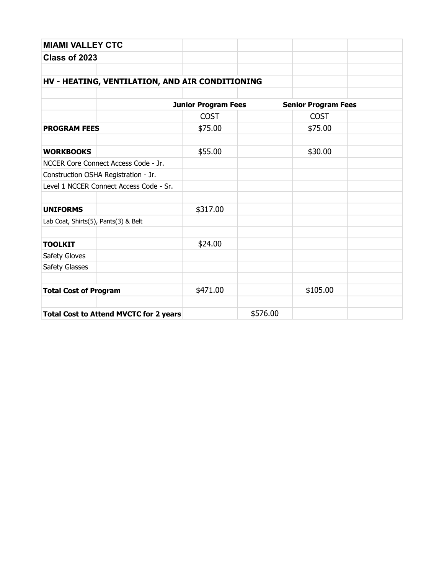| <b>MIAMI VALLEY CTC</b>                         |                            |          |                            |  |
|-------------------------------------------------|----------------------------|----------|----------------------------|--|
| Class of 2023                                   |                            |          |                            |  |
|                                                 |                            |          |                            |  |
| HV - HEATING, VENTILATION, AND AIR CONDITIONING |                            |          |                            |  |
|                                                 | <b>Junior Program Fees</b> |          | <b>Senior Program Fees</b> |  |
|                                                 | <b>COST</b>                |          | <b>COST</b>                |  |
| <b>PROGRAM FEES</b>                             | \$75.00                    |          | \$75.00                    |  |
| <b>WORKBOOKS</b>                                | \$55.00                    |          | \$30.00                    |  |
| NCCER Core Connect Access Code - Jr.            |                            |          |                            |  |
| Construction OSHA Registration - Jr.            |                            |          |                            |  |
| Level 1 NCCER Connect Access Code - Sr.         |                            |          |                            |  |
| <b>UNIFORMS</b>                                 | \$317.00                   |          |                            |  |
| Lab Coat, Shirts(5), Pants(3) & Belt            |                            |          |                            |  |
| <b>TOOLKIT</b>                                  | \$24.00                    |          |                            |  |
| Safety Gloves                                   |                            |          |                            |  |
| Safety Glasses                                  |                            |          |                            |  |
|                                                 |                            |          |                            |  |
| <b>Total Cost of Program</b>                    | \$471.00                   |          | \$105.00                   |  |
|                                                 |                            | \$576.00 |                            |  |
| <b>Total Cost to Attend MVCTC for 2 years</b>   |                            |          |                            |  |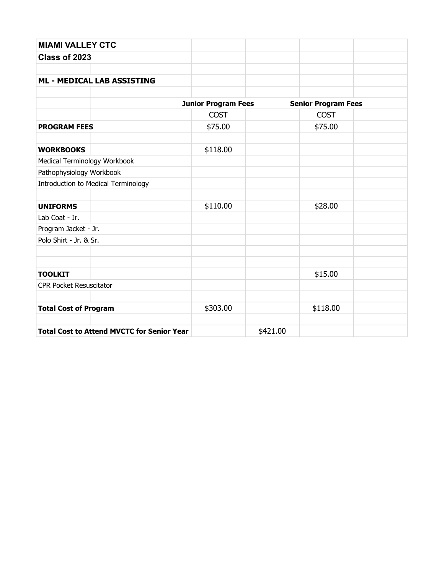| <b>MIAMI VALLEY CTC</b>                           |                            |          |                            |  |
|---------------------------------------------------|----------------------------|----------|----------------------------|--|
| Class of 2023                                     |                            |          |                            |  |
|                                                   |                            |          |                            |  |
| <b>ML - MEDICAL LAB ASSISTING</b>                 |                            |          |                            |  |
|                                                   |                            |          |                            |  |
|                                                   | <b>Junior Program Fees</b> |          | <b>Senior Program Fees</b> |  |
|                                                   | <b>COST</b>                |          | <b>COST</b>                |  |
| <b>PROGRAM FEES</b>                               | \$75.00                    |          | \$75.00                    |  |
| <b>WORKBOOKS</b>                                  | \$118.00                   |          |                            |  |
| Medical Terminology Workbook                      |                            |          |                            |  |
| Pathophysiology Workbook                          |                            |          |                            |  |
| Introduction to Medical Terminology               |                            |          |                            |  |
| <b>UNIFORMS</b>                                   | \$110.00                   |          | \$28.00                    |  |
| Lab Coat - Jr.                                    |                            |          |                            |  |
| Program Jacket - Jr.                              |                            |          |                            |  |
| Polo Shirt - Jr. & Sr.                            |                            |          |                            |  |
|                                                   |                            |          |                            |  |
| <b>TOOLKIT</b>                                    |                            |          | \$15.00                    |  |
| <b>CPR Pocket Resuscitator</b>                    |                            |          |                            |  |
| <b>Total Cost of Program</b>                      | \$303.00                   |          | \$118.00                   |  |
| <b>Total Cost to Attend MVCTC for Senior Year</b> |                            | \$421.00 |                            |  |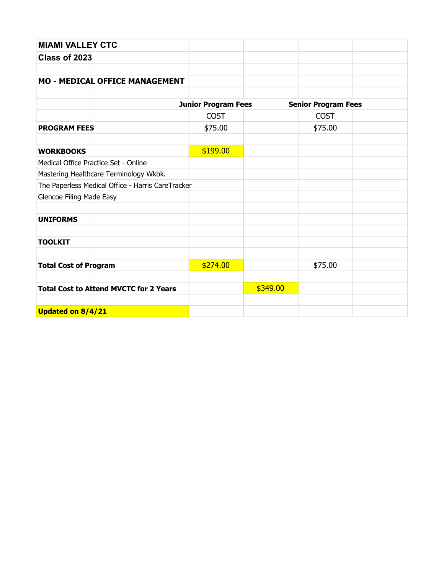| <b>MIAMI VALLEY CTC</b>                           |  |                            |          |                            |  |
|---------------------------------------------------|--|----------------------------|----------|----------------------------|--|
| Class of 2023                                     |  |                            |          |                            |  |
|                                                   |  |                            |          |                            |  |
| <b>MO - MEDICAL OFFICE MANAGEMENT</b>             |  |                            |          |                            |  |
|                                                   |  |                            |          |                            |  |
|                                                   |  | <b>Junior Program Fees</b> |          | <b>Senior Program Fees</b> |  |
|                                                   |  | <b>COST</b>                |          | <b>COST</b>                |  |
| <b>PROGRAM FEES</b>                               |  | \$75.00                    |          | \$75.00                    |  |
|                                                   |  |                            |          |                            |  |
| <b>WORKBOOKS</b>                                  |  | \$199.00                   |          |                            |  |
| Medical Office Practice Set - Online              |  |                            |          |                            |  |
| Mastering Healthcare Terminology Wkbk.            |  |                            |          |                            |  |
| The Paperless Medical Office - Harris CareTracker |  |                            |          |                            |  |
| <b>Glencoe Filing Made Easy</b>                   |  |                            |          |                            |  |
|                                                   |  |                            |          |                            |  |
| <b>UNIFORMS</b>                                   |  |                            |          |                            |  |
|                                                   |  |                            |          |                            |  |
| <b>TOOLKIT</b>                                    |  |                            |          |                            |  |
|                                                   |  |                            |          |                            |  |
| <b>Total Cost of Program</b>                      |  | \$274.00                   |          | \$75.00                    |  |
|                                                   |  |                            |          |                            |  |
| <b>Total Cost to Attend MVCTC for 2 Years</b>     |  |                            | \$349.00 |                            |  |
|                                                   |  |                            |          |                            |  |
| Updated on 8/4/21                                 |  |                            |          |                            |  |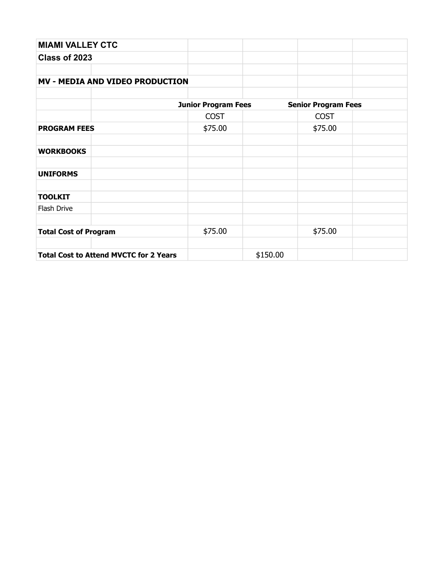| <b>MIAMI VALLEY CTC</b>                       |                            |          |                            |  |
|-----------------------------------------------|----------------------------|----------|----------------------------|--|
| Class of 2023                                 |                            |          |                            |  |
|                                               |                            |          |                            |  |
| <b>MV - MEDIA AND VIDEO PRODUCTION</b>        |                            |          |                            |  |
|                                               |                            |          |                            |  |
|                                               | <b>Junior Program Fees</b> |          | <b>Senior Program Fees</b> |  |
|                                               | <b>COST</b>                |          | <b>COST</b>                |  |
| <b>PROGRAM FEES</b>                           | \$75.00                    |          | \$75.00                    |  |
|                                               |                            |          |                            |  |
| <b>WORKBOOKS</b>                              |                            |          |                            |  |
| <b>UNIFORMS</b>                               |                            |          |                            |  |
| <b>TOOLKIT</b>                                |                            |          |                            |  |
| Flash Drive                                   |                            |          |                            |  |
| <b>Total Cost of Program</b>                  | \$75.00                    |          | \$75.00                    |  |
|                                               |                            |          |                            |  |
| <b>Total Cost to Attend MVCTC for 2 Years</b> |                            | \$150.00 |                            |  |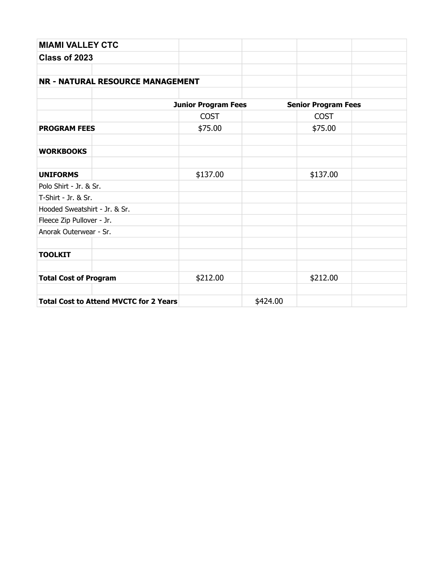| <b>MIAMI VALLEY CTC</b>       |                                               |                            |          |                            |  |
|-------------------------------|-----------------------------------------------|----------------------------|----------|----------------------------|--|
| Class of 2023                 |                                               |                            |          |                            |  |
|                               |                                               |                            |          |                            |  |
|                               | <b>NR - NATURAL RESOURCE MANAGEMENT</b>       |                            |          |                            |  |
|                               |                                               |                            |          |                            |  |
|                               |                                               | <b>Junior Program Fees</b> |          | <b>Senior Program Fees</b> |  |
|                               |                                               | <b>COST</b>                |          | <b>COST</b>                |  |
| <b>PROGRAM FEES</b>           |                                               | \$75.00                    |          | \$75.00                    |  |
| <b>WORKBOOKS</b>              |                                               |                            |          |                            |  |
| <b>UNIFORMS</b>               |                                               | \$137.00                   |          | \$137.00                   |  |
| Polo Shirt - Jr. & Sr.        |                                               |                            |          |                            |  |
| T-Shirt - Jr. & Sr.           |                                               |                            |          |                            |  |
| Hooded Sweatshirt - Jr. & Sr. |                                               |                            |          |                            |  |
| Fleece Zip Pullover - Jr.     |                                               |                            |          |                            |  |
| Anorak Outerwear - Sr.        |                                               |                            |          |                            |  |
| <b>TOOLKIT</b>                |                                               |                            |          |                            |  |
| <b>Total Cost of Program</b>  |                                               | \$212.00                   |          | \$212.00                   |  |
|                               | <b>Total Cost to Attend MVCTC for 2 Years</b> |                            | \$424.00 |                            |  |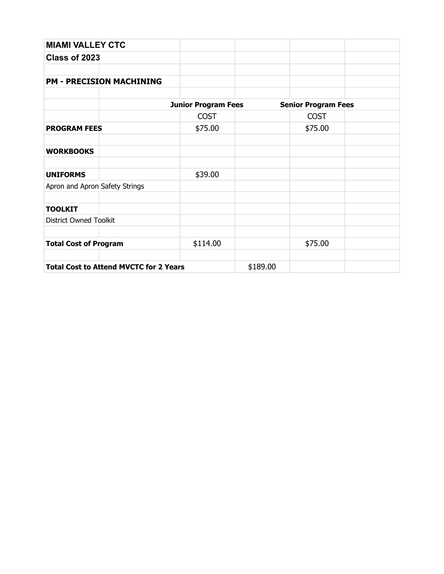| <b>MIAMI VALLEY CTC</b>                       |                            |          |                            |  |
|-----------------------------------------------|----------------------------|----------|----------------------------|--|
| Class of 2023                                 |                            |          |                            |  |
| <b>PM - PRECISION MACHINING</b>               |                            |          |                            |  |
|                                               | <b>Junior Program Fees</b> |          | <b>Senior Program Fees</b> |  |
|                                               | <b>COST</b>                |          | <b>COST</b>                |  |
| <b>PROGRAM FEES</b>                           | \$75.00                    |          | \$75.00                    |  |
| <b>WORKBOOKS</b>                              |                            |          |                            |  |
| <b>UNIFORMS</b>                               | \$39.00                    |          |                            |  |
| Apron and Apron Safety Strings                |                            |          |                            |  |
| <b>TOOLKIT</b>                                |                            |          |                            |  |
| <b>District Owned Toolkit</b>                 |                            |          |                            |  |
| <b>Total Cost of Program</b>                  | \$114.00                   |          | \$75.00                    |  |
| <b>Total Cost to Attend MVCTC for 2 Years</b> |                            | \$189.00 |                            |  |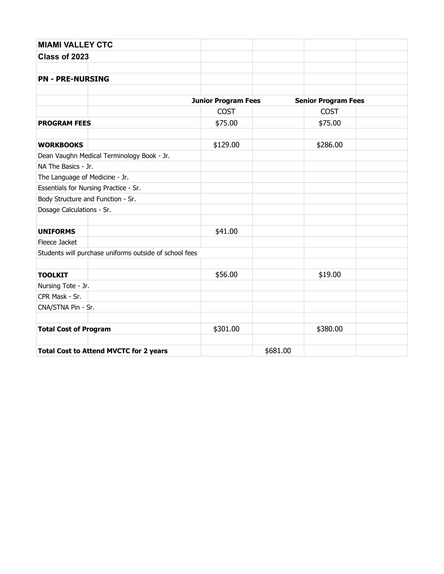| <b>MIAMI VALLEY CTC</b>        |                                                        |                            |          |                            |  |
|--------------------------------|--------------------------------------------------------|----------------------------|----------|----------------------------|--|
| Class of 2023                  |                                                        |                            |          |                            |  |
|                                |                                                        |                            |          |                            |  |
| <b>PN - PRE-NURSING</b>        |                                                        |                            |          |                            |  |
|                                |                                                        |                            |          |                            |  |
|                                |                                                        | <b>Junior Program Fees</b> |          | <b>Senior Program Fees</b> |  |
|                                |                                                        | <b>COST</b>                |          | <b>COST</b>                |  |
| <b>PROGRAM FEES</b>            |                                                        | \$75.00                    |          | \$75.00                    |  |
|                                |                                                        |                            |          |                            |  |
| <b>WORKBOOKS</b>               |                                                        | \$129.00                   |          | \$286.00                   |  |
|                                | Dean Vaughn Medical Terminology Book - Jr.             |                            |          |                            |  |
| NA The Basics - Jr.            |                                                        |                            |          |                            |  |
| The Language of Medicine - Jr. |                                                        |                            |          |                            |  |
|                                | Essentials for Nursing Practice - Sr.                  |                            |          |                            |  |
|                                | Body Structure and Function - Sr.                      |                            |          |                            |  |
| Dosage Calculations - Sr.      |                                                        |                            |          |                            |  |
|                                |                                                        |                            |          |                            |  |
| <b>UNIFORMS</b>                |                                                        | \$41.00                    |          |                            |  |
| Fleece Jacket                  |                                                        |                            |          |                            |  |
|                                | Students will purchase uniforms outside of school fees |                            |          |                            |  |
|                                |                                                        |                            |          |                            |  |
| <b>TOOLKIT</b>                 |                                                        | \$56.00                    |          | \$19.00                    |  |
| Nursing Tote - Jr.             |                                                        |                            |          |                            |  |
| CPR Mask - Sr.                 |                                                        |                            |          |                            |  |
| CNA/STNA Pin - Sr.             |                                                        |                            |          |                            |  |
|                                |                                                        |                            |          |                            |  |
| <b>Total Cost of Program</b>   |                                                        | \$301.00                   |          | \$380.00                   |  |
|                                |                                                        |                            |          |                            |  |
|                                | <b>Total Cost to Attend MVCTC for 2 years</b>          |                            | \$681.00 |                            |  |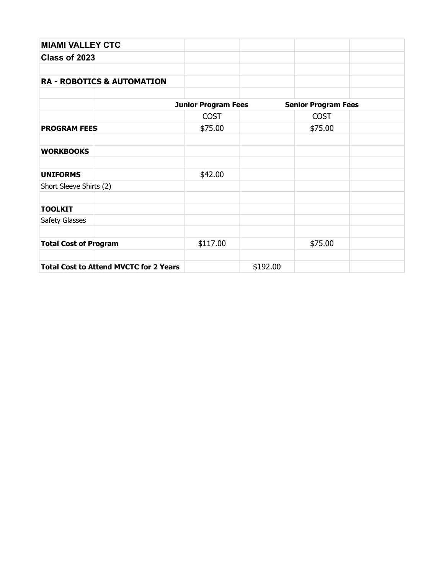| <b>MIAMI VALLEY CTC</b>                       |                            |          |                            |  |
|-----------------------------------------------|----------------------------|----------|----------------------------|--|
| Class of 2023                                 |                            |          |                            |  |
|                                               |                            |          |                            |  |
| <b>RA - ROBOTICS &amp; AUTOMATION</b>         |                            |          |                            |  |
|                                               |                            |          |                            |  |
|                                               | <b>Junior Program Fees</b> |          | <b>Senior Program Fees</b> |  |
|                                               | <b>COST</b>                |          | <b>COST</b>                |  |
| <b>PROGRAM FEES</b>                           | \$75.00                    |          | \$75.00                    |  |
|                                               |                            |          |                            |  |
| <b>WORKBOOKS</b>                              |                            |          |                            |  |
|                                               |                            |          |                            |  |
| <b>UNIFORMS</b>                               | \$42.00                    |          |                            |  |
| Short Sleeve Shirts (2)                       |                            |          |                            |  |
|                                               |                            |          |                            |  |
| <b>TOOLKIT</b>                                |                            |          |                            |  |
| Safety Glasses                                |                            |          |                            |  |
|                                               |                            |          |                            |  |
| <b>Total Cost of Program</b>                  | \$117.00                   |          | \$75.00                    |  |
|                                               |                            |          |                            |  |
| <b>Total Cost to Attend MVCTC for 2 Years</b> |                            | \$192.00 |                            |  |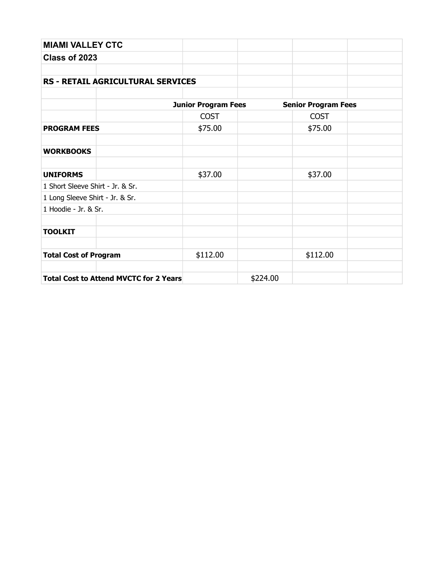| <b>MIAMI VALLEY CTC</b>                       |                            |          |                            |  |
|-----------------------------------------------|----------------------------|----------|----------------------------|--|
| Class of 2023                                 |                            |          |                            |  |
|                                               |                            |          |                            |  |
| <b>RS - RETAIL AGRICULTURAL SERVICES</b>      |                            |          |                            |  |
|                                               |                            |          |                            |  |
|                                               | <b>Junior Program Fees</b> |          | <b>Senior Program Fees</b> |  |
|                                               | <b>COST</b>                |          | <b>COST</b>                |  |
| <b>PROGRAM FEES</b>                           | \$75.00                    |          | \$75.00                    |  |
|                                               |                            |          |                            |  |
| <b>WORKBOOKS</b>                              |                            |          |                            |  |
|                                               |                            |          |                            |  |
| <b>UNIFORMS</b>                               | \$37.00                    |          | \$37.00                    |  |
| 1 Short Sleeve Shirt - Jr. & Sr.              |                            |          |                            |  |
| 1 Long Sleeve Shirt - Jr. & Sr.               |                            |          |                            |  |
| 1 Hoodie - Jr. & Sr.                          |                            |          |                            |  |
|                                               |                            |          |                            |  |
| <b>TOOLKIT</b>                                |                            |          |                            |  |
|                                               |                            |          |                            |  |
| <b>Total Cost of Program</b>                  | \$112.00                   |          | \$112.00                   |  |
|                                               |                            |          |                            |  |
| <b>Total Cost to Attend MVCTC for 2 Years</b> |                            | \$224.00 |                            |  |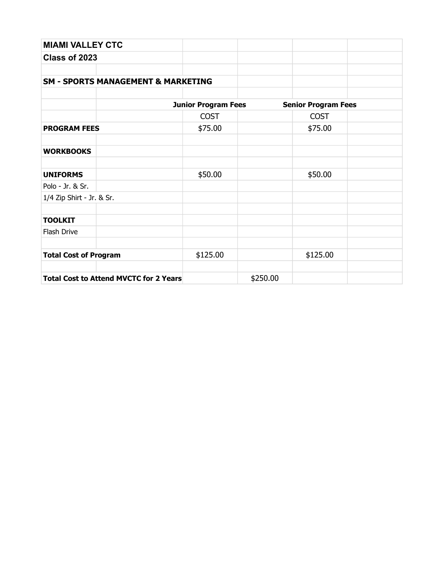| <b>MIAMI VALLEY CTC</b>                       |                            |          |                            |  |
|-----------------------------------------------|----------------------------|----------|----------------------------|--|
| Class of 2023                                 |                            |          |                            |  |
|                                               |                            |          |                            |  |
| <b>SM - SPORTS MANAGEMENT &amp; MARKETING</b> |                            |          |                            |  |
|                                               |                            |          |                            |  |
|                                               | <b>Junior Program Fees</b> |          | <b>Senior Program Fees</b> |  |
|                                               | <b>COST</b>                |          | <b>COST</b>                |  |
| <b>PROGRAM FEES</b>                           | \$75.00                    |          | \$75.00                    |  |
|                                               |                            |          |                            |  |
| <b>WORKBOOKS</b>                              |                            |          |                            |  |
|                                               |                            |          |                            |  |
| <b>UNIFORMS</b>                               | \$50.00                    |          | \$50.00                    |  |
| Polo - Jr. & Sr.                              |                            |          |                            |  |
| 1/4 Zip Shirt - Jr. & Sr.                     |                            |          |                            |  |
|                                               |                            |          |                            |  |
| <b>TOOLKIT</b>                                |                            |          |                            |  |
| Flash Drive                                   |                            |          |                            |  |
|                                               |                            |          |                            |  |
| <b>Total Cost of Program</b>                  | \$125.00                   |          | \$125.00                   |  |
|                                               |                            |          |                            |  |
| <b>Total Cost to Attend MVCTC for 2 Years</b> |                            | \$250.00 |                            |  |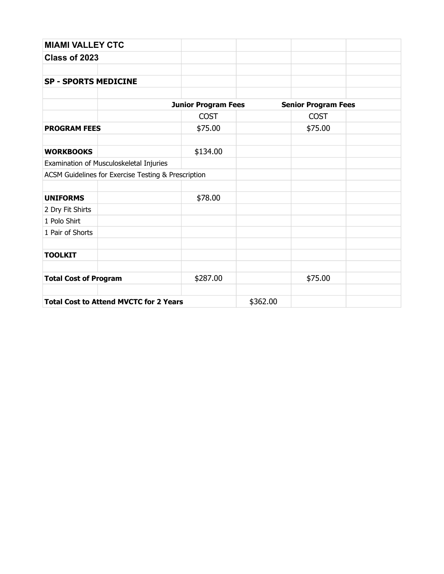| <b>MIAMI VALLEY CTC</b>                             |                            |          |                            |  |  |
|-----------------------------------------------------|----------------------------|----------|----------------------------|--|--|
| Class of 2023                                       |                            |          |                            |  |  |
|                                                     |                            |          |                            |  |  |
| <b>SP - SPORTS MEDICINE</b>                         |                            |          |                            |  |  |
|                                                     |                            |          |                            |  |  |
|                                                     | <b>Junior Program Fees</b> |          | <b>Senior Program Fees</b> |  |  |
|                                                     | <b>COST</b>                |          | <b>COST</b>                |  |  |
| <b>PROGRAM FEES</b>                                 | \$75.00                    |          | \$75.00                    |  |  |
| <b>WORKBOOKS</b>                                    | \$134.00                   |          |                            |  |  |
| Examination of Musculoskeletal Injuries             |                            |          |                            |  |  |
| ACSM Guidelines for Exercise Testing & Prescription |                            |          |                            |  |  |
| <b>UNIFORMS</b>                                     | \$78.00                    |          |                            |  |  |
| 2 Dry Fit Shirts                                    |                            |          |                            |  |  |
| 1 Polo Shirt                                        |                            |          |                            |  |  |
| 1 Pair of Shorts                                    |                            |          |                            |  |  |
| <b>TOOLKIT</b>                                      |                            |          |                            |  |  |
|                                                     |                            |          |                            |  |  |
| <b>Total Cost of Program</b>                        | \$287.00                   |          | \$75.00                    |  |  |
| <b>Total Cost to Attend MVCTC for 2 Years</b>       |                            | \$362.00 |                            |  |  |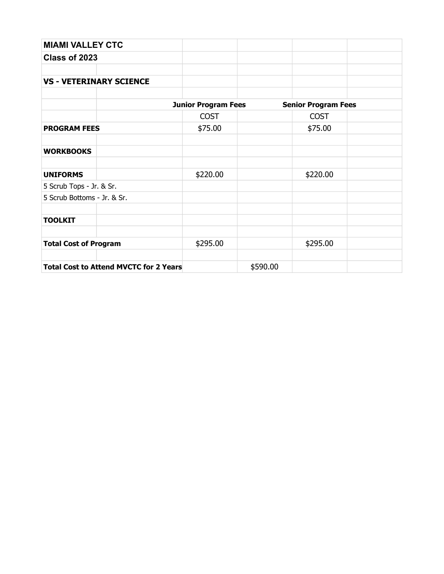| <b>MIAMI VALLEY CTC</b>                       |                            |          |                            |  |
|-----------------------------------------------|----------------------------|----------|----------------------------|--|
| Class of 2023                                 |                            |          |                            |  |
|                                               |                            |          |                            |  |
| <b>VS - VETERINARY SCIENCE</b>                |                            |          |                            |  |
|                                               |                            |          |                            |  |
|                                               | <b>Junior Program Fees</b> |          | <b>Senior Program Fees</b> |  |
|                                               | <b>COST</b>                |          | <b>COST</b>                |  |
| <b>PROGRAM FEES</b>                           | \$75.00                    |          | \$75.00                    |  |
| <b>WORKBOOKS</b>                              |                            |          |                            |  |
| <b>UNIFORMS</b>                               | \$220.00                   |          | \$220.00                   |  |
| 5 Scrub Tops - Jr. & Sr.                      |                            |          |                            |  |
| 5 Scrub Bottoms - Jr. & Sr.                   |                            |          |                            |  |
| <b>TOOLKIT</b>                                |                            |          |                            |  |
| <b>Total Cost of Program</b>                  | \$295.00                   |          | \$295.00                   |  |
| <b>Total Cost to Attend MVCTC for 2 Years</b> |                            | \$590.00 |                            |  |